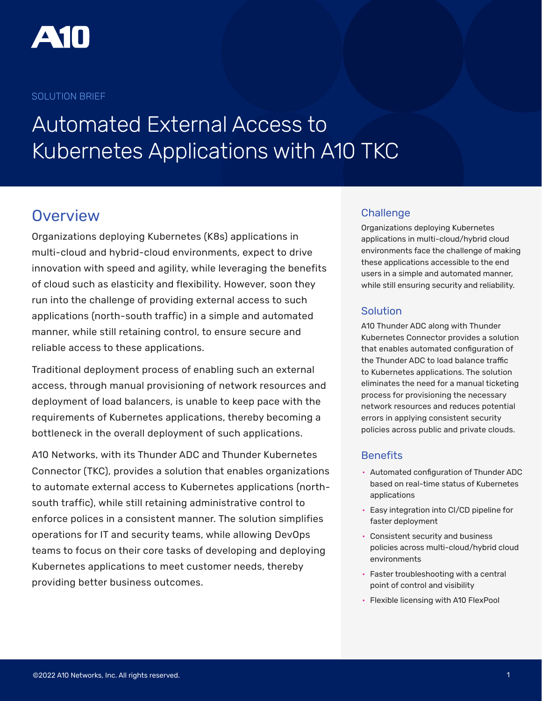

### SOLUTION BRIEF

# Automated External Access to Kubernetes Applications with A10 TKC

## **Overview**

Organizations deploying Kubernetes (K8s) applications in multi-cloud and hybrid-cloud environments, expect to drive innovation with speed and agility, while leveraging the benefits of cloud such as elasticity and flexibility. However, soon they run into the challenge of providing external access to such applications (north-south traffic) in a simple and automated manner, while still retaining control, to ensure secure and reliable access to these applications.

Traditional deployment process of enabling such an external access, through manual provisioning of network resources and deployment of load balancers, is unable to keep pace with the requirements of Kubernetes applications, thereby becoming a bottleneck in the overall deployment of such applications.

A10 Networks, with its Thunder ADC and Thunder Kubernetes Connector (TKC), provides a solution that enables organizations to automate external access to Kubernetes applications (northsouth traffic), while still retaining administrative control to enforce polices in a consistent manner. The solution simplifies operations for IT and security teams, while allowing DevOps teams to focus on their core tasks of developing and deploying Kubernetes applications to meet customer needs, thereby providing better business outcomes.

### Challenge

Organizations deploying Kubernetes applications in multi-cloud/hybrid cloud environments face the challenge of making these applications accessible to the end users in a simple and automated manner, while still ensuring security and reliability.

### Solution

A10 Thunder ADC along with Thunder Kubernetes Connector provides a solution that enables automated configuration of the Thunder ADC to load balance traffic to Kubernetes applications. The solution eliminates the need for a manual ticketing process for provisioning the necessary network resources and reduces potential errors in applying consistent security policies across public and private clouds.

### **Benefits**

- Automated configuration of Thunder ADC based on real-time status of Kubernetes applications
- Easy integration into CI/CD pipeline for faster deployment
- Consistent security and business policies across multi-cloud/hybrid cloud environments
- Faster troubleshooting with a central point of control and visibility
- Flexible licensing with A10 FlexPool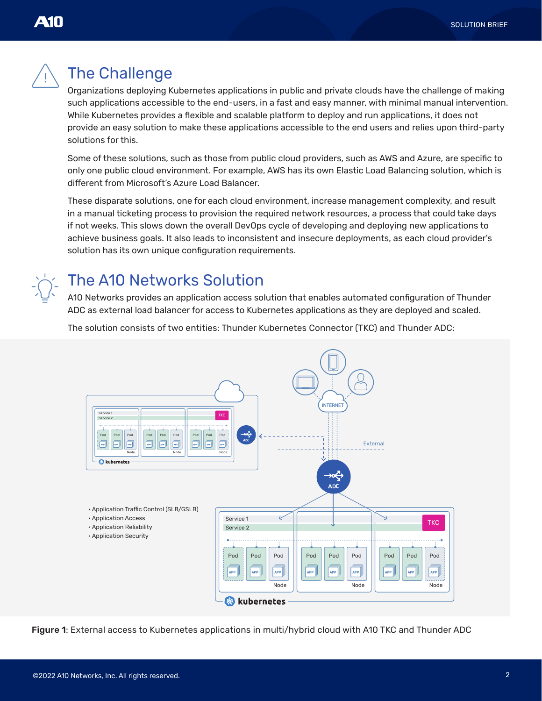

## The Challenge

Organizations deploying Kubernetes applications in public and private clouds have the challenge of making such applications accessible to the end-users, in a fast and easy manner, with minimal manual intervention. While Kubernetes provides a flexible and scalable platform to deploy and run applications, it does not provide an easy solution to make these applications accessible to the end users and relies upon third-party solutions for this.

Some of these solutions, such as those from public cloud providers, such as AWS and Azure, are specific to only one public cloud environment. For example, AWS has its own Elastic Load Balancing solution, which is different from Microsoft's Azure Load Balancer.

These disparate solutions, one for each cloud environment, increase management complexity, and result in a manual ticketing process to provision the required network resources, a process that could take days if not weeks. This slows down the overall DevOps cycle of developing and deploying new applications to achieve business goals. It also leads to inconsistent and insecure deployments, as each cloud provider's solution has its own unique configuration requirements.

## The A10 Networks Solution

A10 Networks provides an application access solution that enables automated configuration of Thunder ADC as external load balancer for access to Kubernetes applications as they are deployed and scaled.

The solution consists of two entities: Thunder Kubernetes Connector (TKC) and Thunder ADC:



Figure 1: External access to Kubernetes applications in multi/hybrid cloud with A10 TKC and Thunder ADC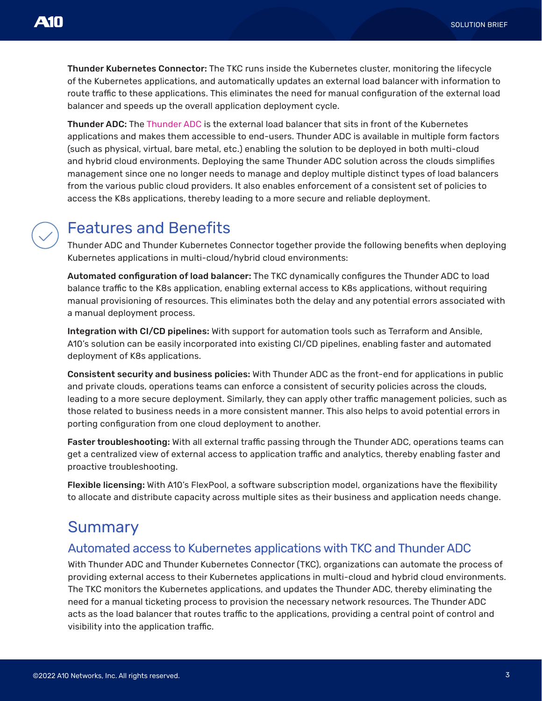Thunder Kubernetes Connector: The TKC runs inside the Kubernetes cluster, monitoring the lifecycle of the Kubernetes applications, and automatically updates an external load balancer with information to route traffic to these applications. This eliminates the need for manual configuration of the external load balancer and speeds up the overall application deployment cycle.

Thunder ADC: The [Thunder ADC](https://www.a10networks.com/products/thunder-adc/) is the external load balancer that sits in front of the Kubernetes applications and makes them accessible to end-users. Thunder ADC is available in multiple form factors (such as physical, virtual, bare metal, etc.) enabling the solution to be deployed in both multi-cloud and hybrid cloud environments. Deploying the same Thunder ADC solution across the clouds simplifies management since one no longer needs to manage and deploy multiple distinct types of load balancers from the various public cloud providers. It also enables enforcement of a consistent set of policies to access the K8s applications, thereby leading to a more secure and reliable deployment.

## Features and Benefits

Thunder ADC and Thunder Kubernetes Connector together provide the following benefits when deploying Kubernetes applications in multi-cloud/hybrid cloud environments:

Automated configuration of load balancer: The TKC dynamically configures the Thunder ADC to load balance traffic to the K8s application, enabling external access to K8s applications, without requiring manual provisioning of resources. This eliminates both the delay and any potential errors associated with a manual deployment process.

Integration with CI/CD pipelines: With support for automation tools such as Terraform and Ansible, A10's solution can be easily incorporated into existing CI/CD pipelines, enabling faster and automated deployment of K8s applications.

Consistent security and business policies: With Thunder ADC as the front-end for applications in public and private clouds, operations teams can enforce a consistent of security policies across the clouds, leading to a more secure deployment. Similarly, they can apply other traffic management policies, such as those related to business needs in a more consistent manner. This also helps to avoid potential errors in porting configuration from one cloud deployment to another.

Faster troubleshooting: With all external traffic passing through the Thunder ADC, operations teams can get a centralized view of external access to application traffic and analytics, thereby enabling faster and proactive troubleshooting.

Flexible licensing: With A10's FlexPool, a software subscription model, organizations have the flexibility to allocate and distribute capacity across multiple sites as their business and application needs change.

## Summary

### Automated access to Kubernetes applications with TKC and Thunder ADC

With Thunder ADC and Thunder Kubernetes Connector (TKC), organizations can automate the process of providing external access to their Kubernetes applications in multi-cloud and hybrid cloud environments. The TKC monitors the Kubernetes applications, and updates the Thunder ADC, thereby eliminating the need for a manual ticketing process to provision the necessary network resources. The Thunder ADC acts as the load balancer that routes traffic to the applications, providing a central point of control and visibility into the application traffic.